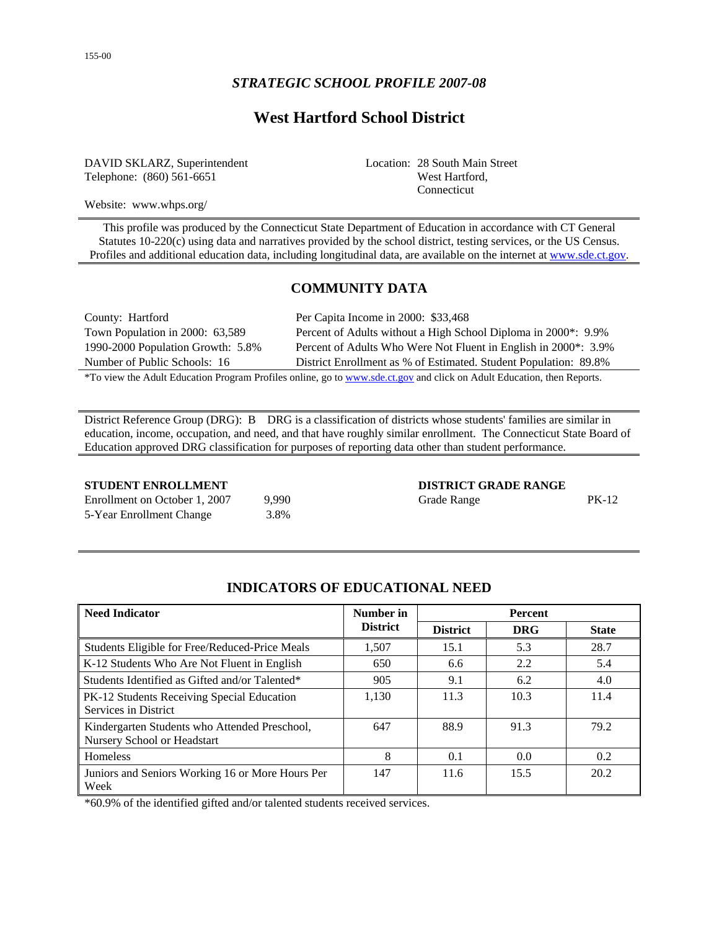# **West Hartford School District**

DAVID SKLARZ, Superintendent Telephone: (860) 561-6651

Location: 28 South Main Street West Hartford, Connecticut

Website: www.whps.org/

This profile was produced by the Connecticut State Department of Education in accordance with CT General Statutes 10-220(c) using data and narratives provided by the school district, testing services, or the US Census. Profiles and additional education data, including longitudinal data, are available on the internet at [www.sde.ct.gov](http://www.sde.ct.gov/).

## **COMMUNITY DATA**

County: Hartford Per Capita Income in 2000: \$33,468 Town Population in 2000: 63,589 Percent of Adults without a High School Diploma in 2000\*: 9.9% 1990-2000 Population Growth: 5.8% Percent of Adults Who Were Not Fluent in English in 2000\*: 3.9% Number of Public Schools: 16 District Enrollment as % of Estimated. Student Population: 89.8%

\*To view the Adult Education Program Profiles online, go to [www.sde.ct.gov](http://www.sde.ct.gov/) and click on Adult Education, then Reports.

District Reference Group (DRG): B DRG is a classification of districts whose students' families are similar in education, income, occupation, and need, and that have roughly similar enrollment. The Connecticut State Board of Education approved DRG classification for purposes of reporting data other than student performance.

| Enrollment on October 1, 2007 | 9.990 |
|-------------------------------|-------|
| 5-Year Enrollment Change      | 3.8%  |

**STUDENT ENROLLMENT DISTRICT GRADE RANGE** O Grade Range PK-12

## **INDICATORS OF EDUCATIONAL NEED**

| <b>Need Indicator</b>                                                        | Number in       |                 | <b>Percent</b> |              |
|------------------------------------------------------------------------------|-----------------|-----------------|----------------|--------------|
|                                                                              | <b>District</b> | <b>District</b> | <b>DRG</b>     | <b>State</b> |
| Students Eligible for Free/Reduced-Price Meals                               | 1.507           | 15.1            | 5.3            | 28.7         |
| K-12 Students Who Are Not Fluent in English                                  | 650             | 6.6             | 2.2            | 5.4          |
| Students Identified as Gifted and/or Talented*                               | 905             | 9.1             | 6.2            | 4.0          |
| PK-12 Students Receiving Special Education<br>Services in District           | 1,130           | 11.3            | 10.3           | 11.4         |
| Kindergarten Students who Attended Preschool,<br>Nursery School or Headstart | 647             | 88.9            | 91.3           | 79.2         |
| <b>Homeless</b>                                                              | 8               | 0.1             | 0.0            | 0.2          |
| Juniors and Seniors Working 16 or More Hours Per<br>Week                     | 147             | 11.6            | 15.5           | 20.2         |

\*60.9% of the identified gifted and/or talented students received services.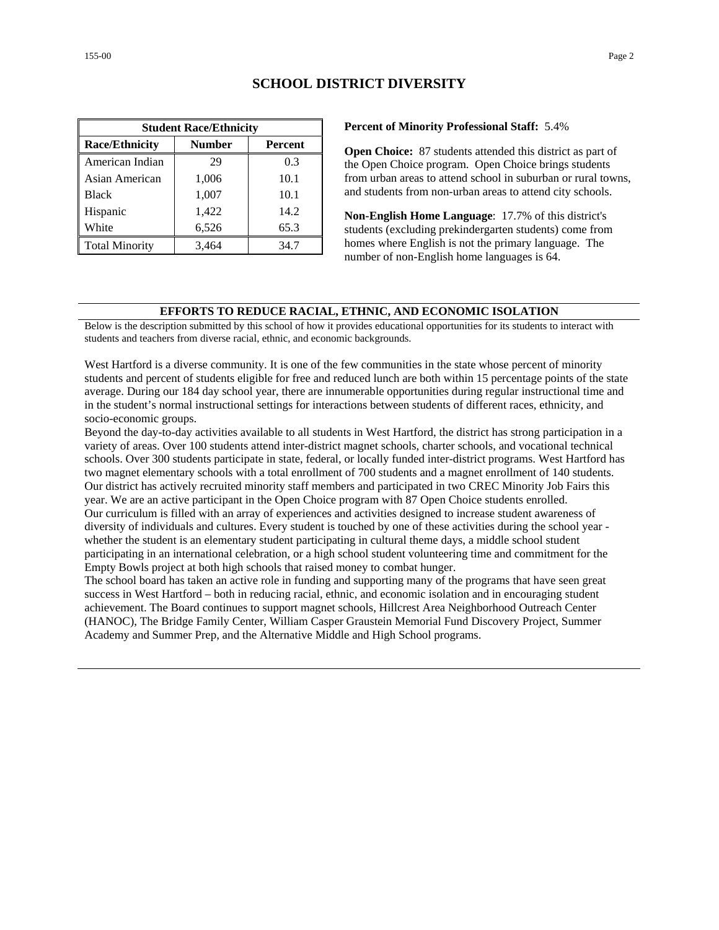|                       | <b>Student Race/Ethnicity</b> |         |
|-----------------------|-------------------------------|---------|
| <b>Race/Ethnicity</b> | <b>Number</b>                 | Percent |
| American Indian       | 29                            | 0.3     |
| Asian American        | 1,006                         | 10.1    |
| <b>Black</b>          | 1,007                         | 10.1    |
| Hispanic              | 1,422                         | 14.2    |
| White                 | 6,526                         | 65.3    |
| <b>Total Minority</b> | 3,464                         | 34.7    |

## **SCHOOL DISTRICT DIVERSITY**

#### **Percent of Minority Professional Staff:** 5.4%

**Open Choice:** 87 students attended this district as part of the Open Choice program. Open Choice brings students from urban areas to attend school in suburban or rural towns, and students from non-urban areas to attend city schools.

**Non-English Home Language**: 17.7% of this district's students (excluding prekindergarten students) come from homes where English is not the primary language. The number of non-English home languages is 64.

#### **EFFORTS TO REDUCE RACIAL, ETHNIC, AND ECONOMIC ISOLATION**

Below is the description submitted by this school of how it provides educational opportunities for its students to interact with students and teachers from diverse racial, ethnic, and economic backgrounds.

West Hartford is a diverse community. It is one of the few communities in the state whose percent of minority students and percent of students eligible for free and reduced lunch are both within 15 percentage points of the state average. During our 184 day school year, there are innumerable opportunities during regular instructional time and in the student's normal instructional settings for interactions between students of different races, ethnicity, and socio-economic groups.

Beyond the day-to-day activities available to all students in West Hartford, the district has strong participation in a variety of areas. Over 100 students attend inter-district magnet schools, charter schools, and vocational technical schools. Over 300 students participate in state, federal, or locally funded inter-district programs. West Hartford has two magnet elementary schools with a total enrollment of 700 students and a magnet enrollment of 140 students. Our district has actively recruited minority staff members and participated in two CREC Minority Job Fairs this year. We are an active participant in the Open Choice program with 87 Open Choice students enrolled. Our curriculum is filled with an array of experiences and activities designed to increase student awareness of diversity of individuals and cultures. Every student is touched by one of these activities during the school year whether the student is an elementary student participating in cultural theme days, a middle school student participating in an international celebration, or a high school student volunteering time and commitment for the Empty Bowls project at both high schools that raised money to combat hunger.

The school board has taken an active role in funding and supporting many of the programs that have seen great success in West Hartford – both in reducing racial, ethnic, and economic isolation and in encouraging student achievement. The Board continues to support magnet schools, Hillcrest Area Neighborhood Outreach Center (HANOC), The Bridge Family Center, William Casper Graustein Memorial Fund Discovery Project, Summer Academy and Summer Prep, and the Alternative Middle and High School programs.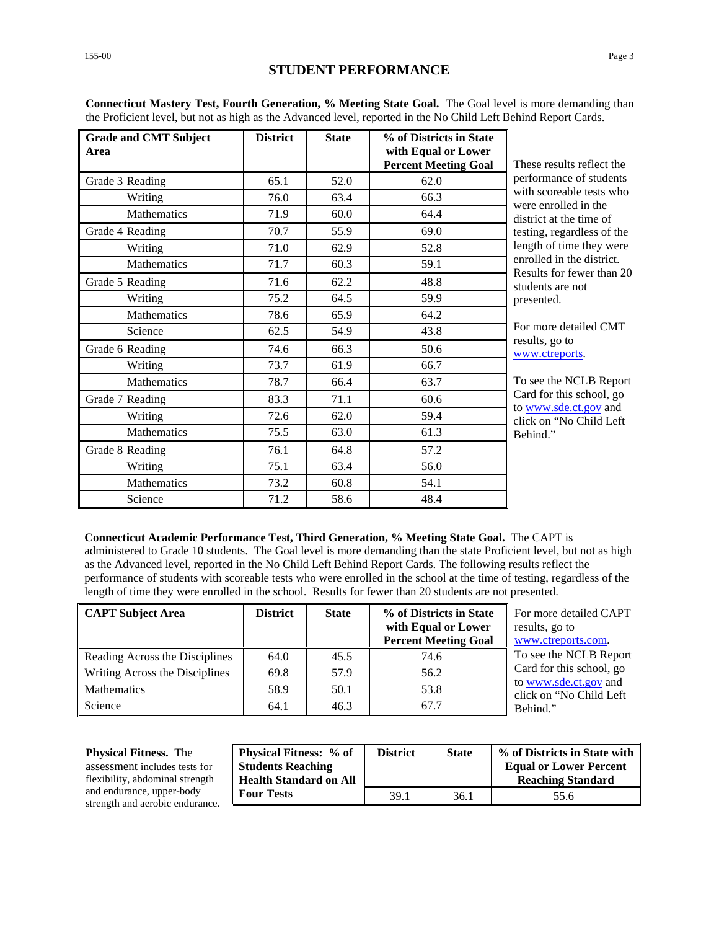| eting State Goal. The Goal level is more demanding than<br>reported in the No Child Left Behind Report Cards. |                           |
|---------------------------------------------------------------------------------------------------------------|---------------------------|
| % of Districts in State<br>with Equal or Lower<br><b>Percent Meeting Goal</b>                                 | These results reflect the |
|                                                                                                               | performance of students   |

**Connecticut Mastery Test, Fourth Generation, % Mee** the Proficient level, but not as high as the Advanced level,

District | State

|                 |      |      | <b>Percent Meeting Goal</b> | These results reflect the                              |
|-----------------|------|------|-----------------------------|--------------------------------------------------------|
| Grade 3 Reading | 65.1 | 52.0 | 62.0                        | performance of students                                |
| Writing         | 76.0 | 63.4 | 66.3                        | with scoreable tests who<br>were enrolled in the       |
| Mathematics     | 71.9 | 60.0 | 64.4                        | district at the time of                                |
| Grade 4 Reading | 70.7 | 55.9 | 69.0                        | testing, regardless of the                             |
| Writing         | 71.0 | 62.9 | 52.8                        | length of time they were                               |
| Mathematics     | 71.7 | 60.3 | 59.1                        | enrolled in the district.<br>Results for fewer than 20 |
| Grade 5 Reading | 71.6 | 62.2 | 48.8                        | students are not                                       |
| Writing         | 75.2 | 64.5 | 59.9                        | presented.                                             |
| Mathematics     | 78.6 | 65.9 | 64.2                        |                                                        |
| Science         | 62.5 | 54.9 | 43.8                        | For more detailed CMT                                  |
| Grade 6 Reading | 74.6 | 66.3 | 50.6                        | results, go to<br>www.ctreports.                       |
| Writing         | 73.7 | 61.9 | 66.7                        |                                                        |
| Mathematics     | 78.7 | 66.4 | 63.7                        | To see the NCLB Report                                 |
| Grade 7 Reading | 83.3 | 71.1 | 60.6                        | Card for this school, go<br>to www.sde.ct.gov and      |
| Writing         | 72.6 | 62.0 | 59.4                        | click on "No Child Left                                |
| Mathematics     | 75.5 | 63.0 | 61.3                        | Behind."                                               |
| Grade 8 Reading | 76.1 | 64.8 | 57.2                        |                                                        |
| Writing         | 75.1 | 63.4 | 56.0                        |                                                        |
| Mathematics     | 73.2 | 60.8 | 54.1                        |                                                        |
| Science         | 71.2 | 58.6 | 48.4                        |                                                        |

**Connecticut Academic Performance Test, Third Generation, % Meeting State Goal.** The CAPT is

administered to Grade 10 students. The Goal level is more demanding than the state Proficient level, but not as high as the Advanced level, reported in the No Child Left Behind Report Cards. The following results reflect the performance of students with scoreable tests who were enrolled in the school at the time of testing, regardless of the length of time they were enrolled in the school. Results for fewer than 20 students are not presented.

| <b>CAPT Subject Area</b>       | <b>District</b> | <b>State</b> | % of Districts in State<br>with Equal or Lower<br><b>Percent Meeting Goal</b> | For more detailed CAPT<br>results, go to<br>www.ctreports.com. |
|--------------------------------|-----------------|--------------|-------------------------------------------------------------------------------|----------------------------------------------------------------|
| Reading Across the Disciplines | 64.0            | 45.5         | 74.6                                                                          | To see the NCLB Report                                         |
| Writing Across the Disciplines | 69.8            | 57.9         | 56.2                                                                          | Card for this school, go                                       |
| <b>Mathematics</b>             | 58.9            | 50.1         | 53.8                                                                          | to www.sde.ct.gov and<br>click on "No Child Left"              |
| Science                        | 64.1            | 46.3         | 67.7                                                                          | Behind."                                                       |

#### **Physical Fitness.** The

assessment includes tests for flexibility, abdominal strength and endurance, upper-body strength and aerobic endurance.

| <b>Physical Fitness:</b> % of<br><b>Students Reaching</b><br><b>Health Standard on All</b> | <b>District</b> | <b>State</b> | $\%$ of Districts in State with $\ $<br><b>Equal or Lower Percent</b><br><b>Reaching Standard</b> |
|--------------------------------------------------------------------------------------------|-----------------|--------------|---------------------------------------------------------------------------------------------------|
| <b>Four Tests</b>                                                                          | 39.1            | 36.1         | 55.6                                                                                              |

**Area** 

**Grade and CMT Subject**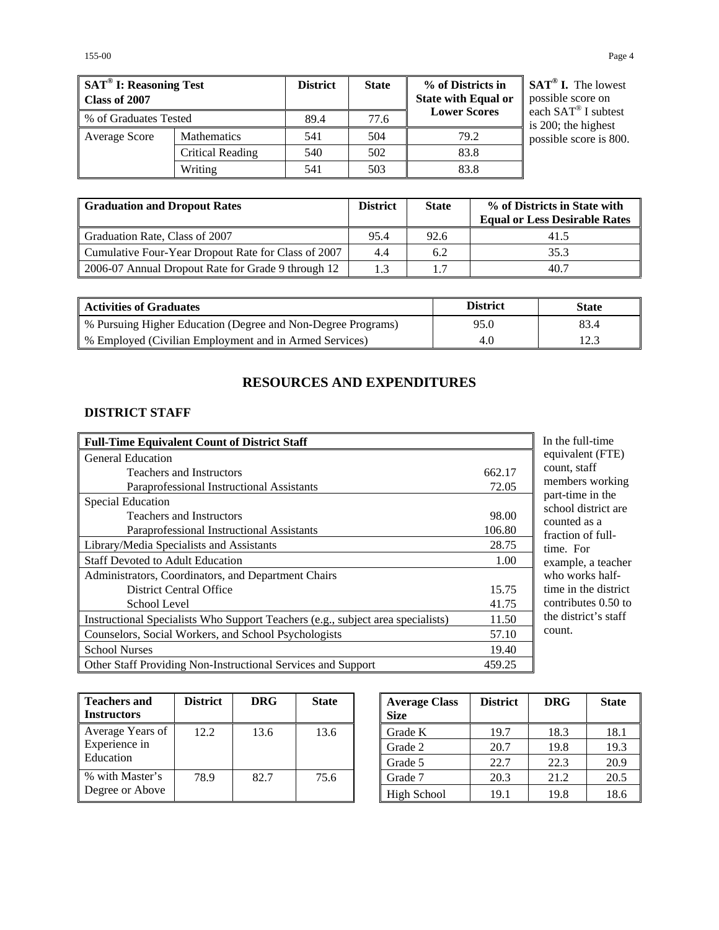| SAT <sup>®</sup> I: Reasoning Test<br>Class of 2007 |                    | <b>District</b> | <b>State</b> | % of Districts in<br><b>State with Equal or</b> | $SAT^{\circledast}$ I. The lowest<br>possible score on |
|-----------------------------------------------------|--------------------|-----------------|--------------|-------------------------------------------------|--------------------------------------------------------|
| % of Graduates Tested                               |                    | 89.4            | 77.6         | <b>Lower Scores</b>                             | each SAT® I subtest<br>is 200; the highest             |
| Average Score                                       | <b>Mathematics</b> | 541             | 504          | 79.2                                            | possible score is 800.                                 |
|                                                     | Critical Reading   | 540             | 502          | 83.8                                            |                                                        |
|                                                     | Writing            | 541             | 503          | 83.8                                            |                                                        |

| <b>Graduation and Dropout Rates</b>                 | <b>District</b> | <b>State</b> | % of Districts in State with         |
|-----------------------------------------------------|-----------------|--------------|--------------------------------------|
|                                                     |                 |              | <b>Equal or Less Desirable Rates</b> |
| Graduation Rate, Class of 2007                      | 95.4            | 92.6         | 41.5                                 |
| Cumulative Four-Year Dropout Rate for Class of 2007 | 4.4             | 6.2          | 35.3                                 |
| 2006-07 Annual Dropout Rate for Grade 9 through 12  | 1.3             | 1.7          | 40.7                                 |

| <b>Activities of Graduates</b>                               | <b>District</b> | <b>State</b> |
|--------------------------------------------------------------|-----------------|--------------|
| % Pursuing Higher Education (Degree and Non-Degree Programs) | 95.0            | 83.4         |
| % Employed (Civilian Employment and in Armed Services)       | 4.0             | 12.3         |

## **RESOURCES AND EXPENDITURES**

## **DISTRICT STAFF**

| <b>Full-Time Equivalent Count of District Staff</b>                             |        |
|---------------------------------------------------------------------------------|--------|
| <b>General Education</b>                                                        |        |
| <b>Teachers and Instructors</b>                                                 | 662.17 |
| Paraprofessional Instructional Assistants                                       | 72.05  |
| Special Education                                                               |        |
| <b>Teachers and Instructors</b>                                                 | 98.00  |
| Paraprofessional Instructional Assistants                                       | 106.80 |
| Library/Media Specialists and Assistants                                        | 28.75  |
| <b>Staff Devoted to Adult Education</b>                                         | 1.00   |
| Administrators, Coordinators, and Department Chairs                             |        |
| <b>District Central Office</b>                                                  | 15.75  |
| School Level                                                                    | 41.75  |
| Instructional Specialists Who Support Teachers (e.g., subject area specialists) | 11.50  |
| Counselors, Social Workers, and School Psychologists                            | 57.10  |
| <b>School Nurses</b>                                                            | 19.40  |
| Other Staff Providing Non-Instructional Services and Support                    | 459.25 |

the full-time uivalent (FTE) unt, staff embers working part-time in the hool district are unted as a action of fullne. For ample, a teacher who works halfne in the district ntributes 0.50 to e district's staff unt.

| <b>Teachers and</b><br><b>Instructors</b> | <b>District</b> | <b>DRG</b> | <b>State</b> |
|-------------------------------------------|-----------------|------------|--------------|
| Average Years of                          | 12.2            | 13.6       | 13.6         |
| Experience in                             |                 |            |              |
| Education                                 |                 |            |              |
| % with Master's                           | 78.9            | 82.7       | 75.6         |
| Degree or Above                           |                 |            |              |

| <b>Average Class</b><br><b>Size</b> | <b>District</b> | <b>DRG</b> | <b>State</b> |
|-------------------------------------|-----------------|------------|--------------|
| Grade K                             | 19.7            | 18.3       | 18.1         |
| Grade 2                             | 20.7            | 19.8       | 19.3         |
| Grade 5                             | 22.7            | 22.3       | 20.9         |
| Grade 7                             | 20.3            | 21.2       | 20.5         |
| High School                         | 19.1            | 19.8       | 18.6         |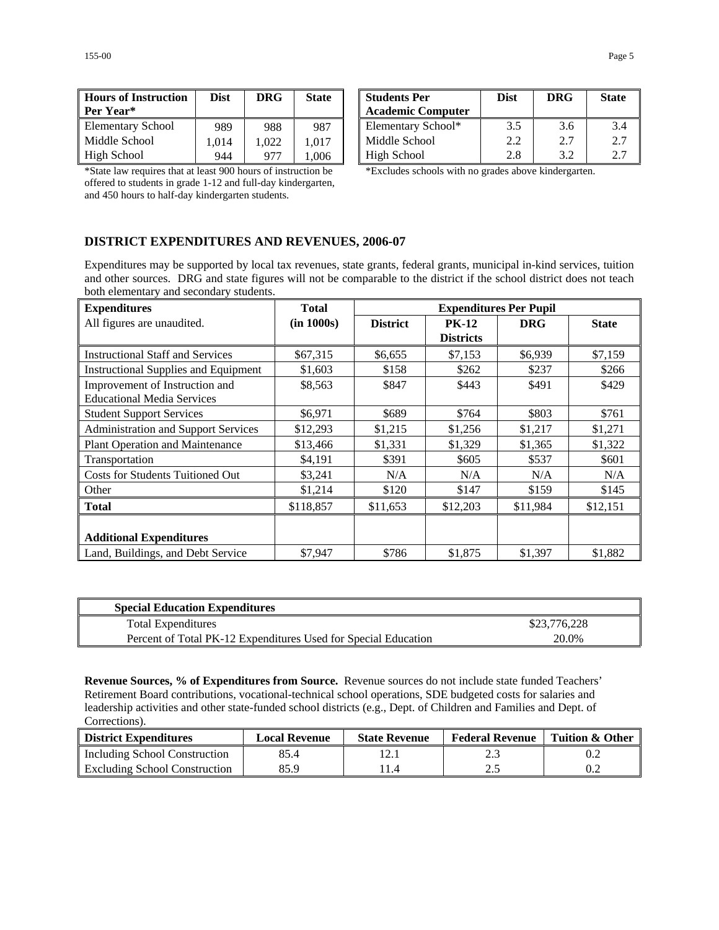| <b>Hours of Instruction</b><br>Per Year* | <b>Dist</b> | <b>DRG</b> | <b>State</b> | <b>Students Per</b><br><b>Academic Co</b> |
|------------------------------------------|-------------|------------|--------------|-------------------------------------------|
| <b>Elementary School</b>                 | 989         | 988        | 987          | <b>Elementary Sc</b>                      |
| Middle School                            | 1.014       | 1.022      | 1.017        | Middle Schoo                              |
| High School                              | 944         | 977        | 1.006        | High School                               |

| <b>Hours of Instruction</b><br>Per Year* | Dist | <b>DRG</b> | <b>State</b> | <b>Students Per</b><br><b>Academic Computer</b> | <b>Dist</b> | <b>DRG</b> | <b>State</b> |
|------------------------------------------|------|------------|--------------|-------------------------------------------------|-------------|------------|--------------|
| <b>Elementary School</b>                 | 989  | 988        | 987          | Elementary School*                              | 3.5         | 3.6        | 3.4          |
| Middle School                            | .014 | .022       | .017         | Middle School                                   | 2.2         | 2.7        | 2.7          |
| High School                              | 944  | 977        | .006         | <b>High School</b>                              | 2.8         | 32         | 2.7          |

\*State law requires that at least 900 hours of instruction be offered to students in grade 1-12 and full-day kindergarten, and 450 hours to half-day kindergarten students.

\*Excludes schools with no grades above kindergarten.

## **DISTRICT EXPENDITURES AND REVENUES, 2006-07**

Expenditures may be supported by local tax revenues, state grants, federal grants, municipal in-kind services, tuition and other sources. DRG and state figures will not be comparable to the district if the school district does not teach both elementary and secondary students.

| <b>Expenditures</b>                         | Total      | <b>Expenditures Per Pupil</b> |                  |            |              |  |
|---------------------------------------------|------------|-------------------------------|------------------|------------|--------------|--|
| All figures are unaudited.                  | (in 1000s) | <b>District</b>               | <b>PK-12</b>     | <b>DRG</b> | <b>State</b> |  |
|                                             |            |                               | <b>Districts</b> |            |              |  |
| <b>Instructional Staff and Services</b>     | \$67,315   | \$6.655                       | \$7,153          | \$6.939    | \$7,159      |  |
| <b>Instructional Supplies and Equipment</b> | \$1,603    | \$158                         | \$262            | \$237      | \$266        |  |
| Improvement of Instruction and              | \$8,563    | \$847                         | \$443            | \$491      | \$429        |  |
| <b>Educational Media Services</b>           |            |                               |                  |            |              |  |
| <b>Student Support Services</b>             | \$6,971    | \$689                         | \$764            | \$803      | \$761        |  |
| <b>Administration and Support Services</b>  | \$12,293   | \$1,215                       | \$1,256          | \$1,217    | \$1,271      |  |
| <b>Plant Operation and Maintenance</b>      | \$13,466   | \$1,331                       | \$1,329          | \$1,365    | \$1,322      |  |
| Transportation                              | \$4,191    | \$391                         | \$605            | \$537      | \$601        |  |
| <b>Costs for Students Tuitioned Out</b>     | \$3,241    | N/A                           | N/A              | N/A        | N/A          |  |
| Other                                       | \$1,214    | \$120                         | \$147            | \$159      | \$145        |  |
| <b>Total</b>                                | \$118,857  | \$11,653                      | \$12,203         | \$11,984   | \$12,151     |  |
|                                             |            |                               |                  |            |              |  |
| <b>Additional Expenditures</b>              |            |                               |                  |            |              |  |
| Land, Buildings, and Debt Service           | \$7.947    | \$786                         | \$1,875          | \$1,397    | \$1,882      |  |

| <b>Special Education Expenditures</b>                          |              |
|----------------------------------------------------------------|--------------|
| <b>Total Expenditures</b>                                      | \$23,776,228 |
| Percent of Total PK-12 Expenditures Used for Special Education | 20.0%        |

**Revenue Sources, % of Expenditures from Source.** Revenue sources do not include state funded Teachers' Retirement Board contributions, vocational-technical school operations, SDE budgeted costs for salaries and leadership activities and other state-funded school districts (e.g., Dept. of Children and Families and Dept. of Corrections).

| District Expenditures         | <b>Local Revenue</b> | <b>State Revenue</b> | <b>Federal Revenue</b> | Tuition & Other |
|-------------------------------|----------------------|----------------------|------------------------|-----------------|
| Including School Construction | 85.4                 |                      |                        |                 |
| Excluding School Construction | 85.9                 |                      |                        | 0.2             |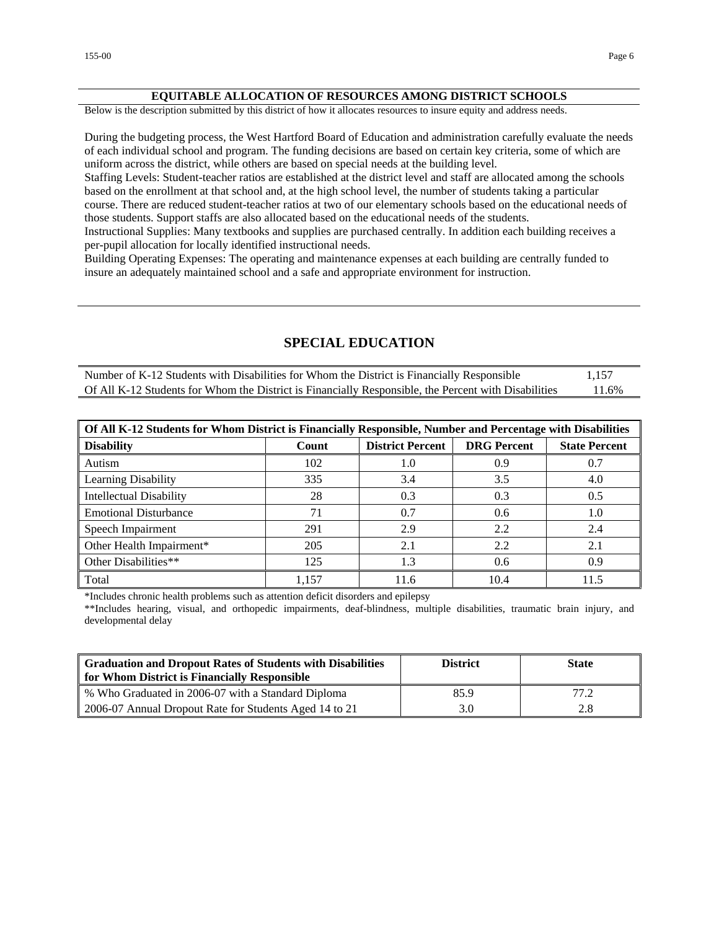#### **EQUITABLE ALLOCATION OF RESOURCES AMONG DISTRICT SCHOOLS**

Below is the description submitted by this district of how it allocates resources to insure equity and address needs.

During the budgeting process, the West Hartford Board of Education and administration carefully evaluate the needs of each individual school and program. The funding decisions are based on certain key criteria, some of which are uniform across the district, while others are based on special needs at the building level.

Staffing Levels: Student-teacher ratios are established at the district level and staff are allocated among the schools based on the enrollment at that school and, at the high school level, the number of students taking a particular course. There are reduced student-teacher ratios at two of our elementary schools based on the educational needs of

those students. Support staffs are also allocated based on the educational needs of the students. Instructional Supplies: Many textbooks and supplies are purchased centrally. In addition each building receives a per-pupil allocation for locally identified instructional needs.

Building Operating Expenses: The operating and maintenance expenses at each building are centrally funded to insure an adequately maintained school and a safe and appropriate environment for instruction.

## **SPECIAL EDUCATION**

| Number of K-12 Students with Disabilities for Whom the District is Financially Responsible           | 1,157 |
|------------------------------------------------------------------------------------------------------|-------|
| Of All K-12 Students for Whom the District is Financially Responsible, the Percent with Disabilities | 11.6% |

| Of All K-12 Students for Whom District is Financially Responsible, Number and Percentage with Disabilities |       |                         |                    |                      |  |  |
|------------------------------------------------------------------------------------------------------------|-------|-------------------------|--------------------|----------------------|--|--|
| <b>Disability</b>                                                                                          | Count | <b>District Percent</b> | <b>DRG</b> Percent | <b>State Percent</b> |  |  |
| Autism                                                                                                     | 102   | 1.0                     | 0.9                | 0.7                  |  |  |
| Learning Disability                                                                                        | 335   | 3.4                     | 3.5                | 4.0                  |  |  |
| <b>Intellectual Disability</b>                                                                             | 28    | 0.3                     | 0.3                | 0.5                  |  |  |
| <b>Emotional Disturbance</b>                                                                               | 71    | 0.7                     | 0.6                | 1.0                  |  |  |
| Speech Impairment                                                                                          | 291   | 2.9                     | 2.2                | 2.4                  |  |  |
| Other Health Impairment*                                                                                   | 205   | 2.1                     | 2.2                | 2.1                  |  |  |
| Other Disabilities**                                                                                       | 125   | 1.3                     | 0.6                | 0.9                  |  |  |
| Total                                                                                                      | 1,157 | 11.6                    | 10.4               | 11.5                 |  |  |

\*Includes chronic health problems such as attention deficit disorders and epilepsy

\*\*Includes hearing, visual, and orthopedic impairments, deaf-blindness, multiple disabilities, traumatic brain injury, and developmental delay

| <b>Graduation and Dropout Rates of Students with Disabilities</b><br>for Whom District is Financially Responsible | <b>District</b> | <b>State</b> |
|-------------------------------------------------------------------------------------------------------------------|-----------------|--------------|
| % Who Graduated in 2006-07 with a Standard Diploma                                                                | 85.9            | 77.2         |
| 2006-07 Annual Dropout Rate for Students Aged 14 to 21                                                            | 3.0             | 2.8          |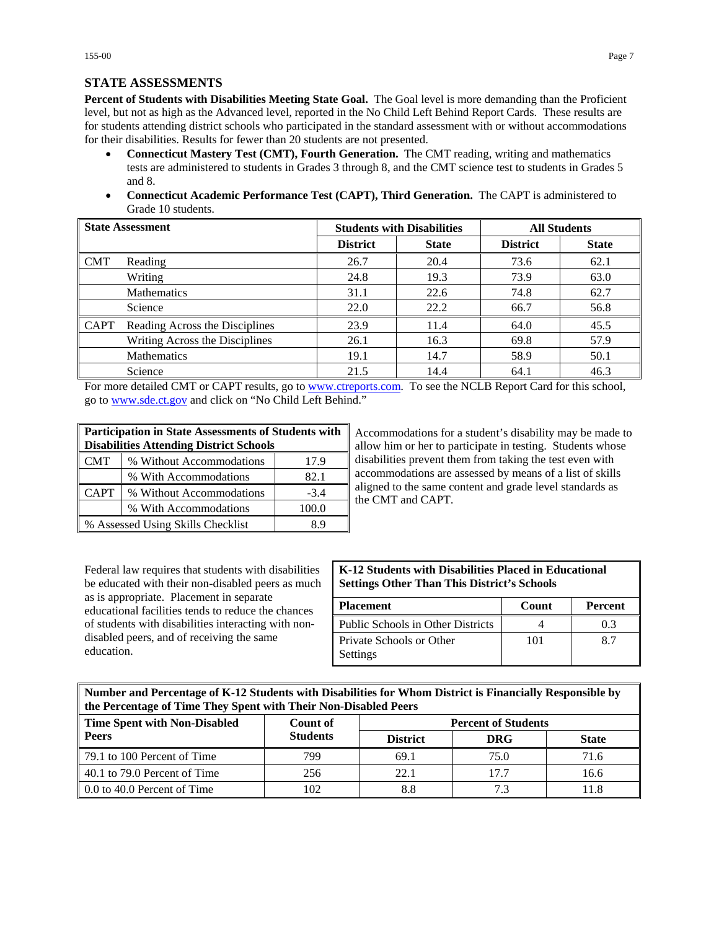# **STATE ASSESSMENTS**

**Percent of Students with Disabilities Meeting State Goal.** The Goal level is more demanding than the Proficient level, but not as high as the Advanced level, reported in the No Child Left Behind Report Cards. These results are for students attending district schools who participated in the standard assessment with or without accommodations for their disabilities. Results for fewer than 20 students are not presented.

- **Connecticut Mastery Test (CMT), Fourth Generation.** The CMT reading, writing and mathematics tests are administered to students in Grades 3 through 8, and the CMT science test to students in Grades 5 and 8.
- **Connecticut Academic Performance Test (CAPT), Third Generation.** The CAPT is administered to Grade 10 students.

| <b>State Assessment</b> |                                |                 | <b>Students with Disabilities</b> | <b>All Students</b> |              |
|-------------------------|--------------------------------|-----------------|-----------------------------------|---------------------|--------------|
|                         |                                | <b>District</b> | <b>State</b>                      | <b>District</b>     | <b>State</b> |
| $\blacksquare$ CMT      | Reading                        | 26.7            | 20.4                              | 73.6                | 62.1         |
|                         | Writing                        | 24.8            | 19.3                              | 73.9                | 63.0         |
|                         | <b>Mathematics</b>             | 31.1            | 22.6                              | 74.8                | 62.7         |
|                         | Science                        | 22.0            | 22.2                              | 66.7                | 56.8         |
| $\blacksquare$ CAPT     | Reading Across the Disciplines | 23.9            | 11.4                              | 64.0                | 45.5         |
|                         | Writing Across the Disciplines | 26.1            | 16.3                              | 69.8                | 57.9         |
|                         | <b>Mathematics</b>             | 19.1            | 14.7                              | 58.9                | 50.1         |
|                         | Science                        | 21.5            | 14.4                              | 64.1                | 46.3         |

For more detailed CMT or CAPT results, go to [www.ctreports.com.](http://www.ctreports.com/) To see the NCLB Report Card for this school, go to [www.sde.ct.gov](http://www.sde.ct.gov/) and click on "No Child Left Behind."

| <b>Participation in State Assessments of Students with</b> |                                                |          |  |  |  |
|------------------------------------------------------------|------------------------------------------------|----------|--|--|--|
|                                                            | <b>Disabilities Attending District Schools</b> |          |  |  |  |
| <b>CMT</b><br>% Without Accommodations<br>17.9             |                                                |          |  |  |  |
|                                                            | % With Accommodations                          | 82.1     |  |  |  |
| <b>CAPT</b>                                                | % Without Accommodations<br>$-3.4$             |          |  |  |  |
| % With Accommodations<br>100.0                             |                                                |          |  |  |  |
|                                                            | % Assessed Using Skills Checklist              | $\times$ |  |  |  |

Accommodations for a student's disability may be made to allow him or her to participate in testing. Students whose disabilities prevent them from taking the test even with accommodations are assessed by means of a list of skills aligned to the same content and grade level standards as the CMT and CAPT.

Federal law requires that students with disabilities be educated with their non-disabled peers as much as is appropriate. Placement in separate educational facilities tends to reduce the chances of students with disabilities interacting with nondisabled peers, and of receiving the same education.

#### **K-12 Students with Disabilities Placed in Educational Settings Other Than This District's Schools**

| <b>Placement</b>                     | Count | <b>Percent</b> |
|--------------------------------------|-------|----------------|
| Public Schools in Other Districts    |       | 03             |
| Private Schools or Other<br>Settings | 101   | x 7            |

| Number and Percentage of K-12 Students with Disabilities for Whom District is Financially Responsible by |
|----------------------------------------------------------------------------------------------------------|
| the Percentage of Time They Spent with Their Non-Disabled Peers                                          |

| <b>Time Spent with Non-Disabled</b> | Count of        | <b>Percent of Students</b> |            |              |
|-------------------------------------|-----------------|----------------------------|------------|--------------|
| <b>Peers</b>                        | <b>Students</b> | <b>District</b>            | <b>DRG</b> | <b>State</b> |
| 79.1 to 100 Percent of Time         | 799             | 69.1                       | 75.0       | 71.6         |
| 40.1 to 79.0 Percent of Time        | 256             | 22.1                       | 17.7       | 16.6         |
| 0.0 to 40.0 Percent of Time         | 02              | 8.8                        | 7.3        | 1.8          |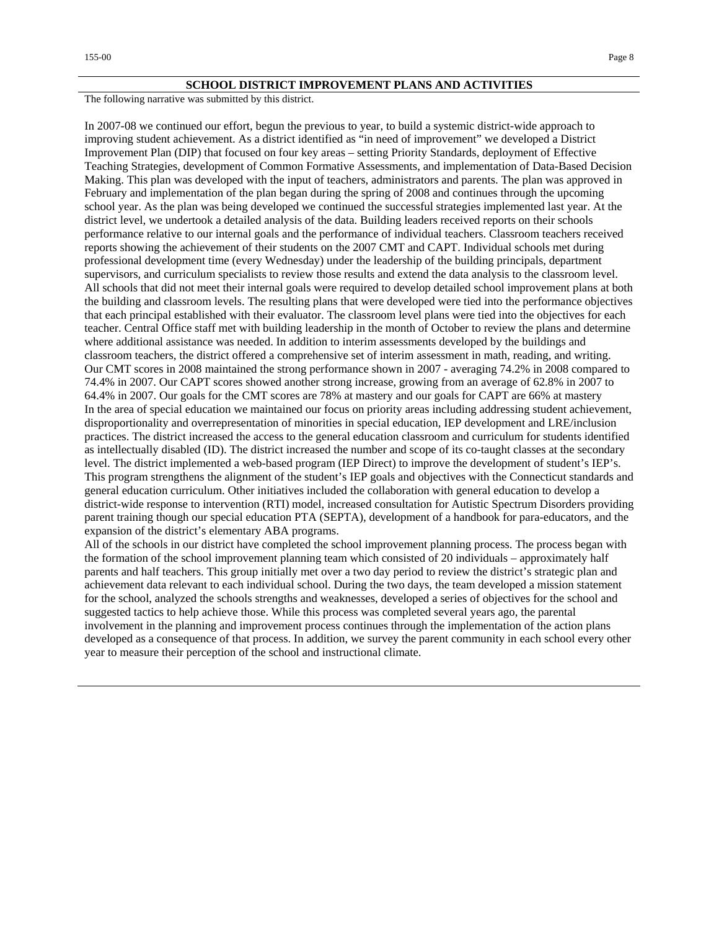#### **SCHOOL DISTRICT IMPROVEMENT PLANS AND ACTIVITIES**

The following narrative was submitted by this district.

In 2007-08 we continued our effort, begun the previous to year, to build a systemic district-wide approach to improving student achievement. As a district identified as "in need of improvement" we developed a District Improvement Plan (DIP) that focused on four key areas – setting Priority Standards, deployment of Effective Teaching Strategies, development of Common Formative Assessments, and implementation of Data-Based Decision Making. This plan was developed with the input of teachers, administrators and parents. The plan was approved in February and implementation of the plan began during the spring of 2008 and continues through the upcoming school year. As the plan was being developed we continued the successful strategies implemented last year. At the district level, we undertook a detailed analysis of the data. Building leaders received reports on their schools performance relative to our internal goals and the performance of individual teachers. Classroom teachers received reports showing the achievement of their students on the 2007 CMT and CAPT. Individual schools met during professional development time (every Wednesday) under the leadership of the building principals, department supervisors, and curriculum specialists to review those results and extend the data analysis to the classroom level. All schools that did not meet their internal goals were required to develop detailed school improvement plans at both the building and classroom levels. The resulting plans that were developed were tied into the performance objectives that each principal established with their evaluator. The classroom level plans were tied into the objectives for each teacher. Central Office staff met with building leadership in the month of October to review the plans and determine where additional assistance was needed. In addition to interim assessments developed by the buildings and classroom teachers, the district offered a comprehensive set of interim assessment in math, reading, and writing. Our CMT scores in 2008 maintained the strong performance shown in 2007 - averaging 74.2% in 2008 compared to 74.4% in 2007. Our CAPT scores showed another strong increase, growing from an average of 62.8% in 2007 to 64.4% in 2007. Our goals for the CMT scores are 78% at mastery and our goals for CAPT are 66% at mastery In the area of special education we maintained our focus on priority areas including addressing student achievement, disproportionality and overrepresentation of minorities in special education, IEP development and LRE/inclusion practices. The district increased the access to the general education classroom and curriculum for students identified as intellectually disabled (ID). The district increased the number and scope of its co-taught classes at the secondary level. The district implemented a web-based program (IEP Direct) to improve the development of student's IEP's. This program strengthens the alignment of the student's IEP goals and objectives with the Connecticut standards and general education curriculum. Other initiatives included the collaboration with general education to develop a district-wide response to intervention (RTI) model, increased consultation for Autistic Spectrum Disorders providing parent training though our special education PTA (SEPTA), development of a handbook for para-educators, and the expansion of the district's elementary ABA programs.

All of the schools in our district have completed the school improvement planning process. The process began with the formation of the school improvement planning team which consisted of 20 individuals – approximately half parents and half teachers. This group initially met over a two day period to review the district's strategic plan and achievement data relevant to each individual school. During the two days, the team developed a mission statement for the school, analyzed the schools strengths and weaknesses, developed a series of objectives for the school and suggested tactics to help achieve those. While this process was completed several years ago, the parental involvement in the planning and improvement process continues through the implementation of the action plans developed as a consequence of that process. In addition, we survey the parent community in each school every other year to measure their perception of the school and instructional climate.